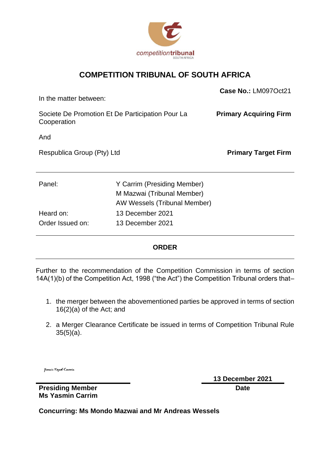

### **COMPETITION TRIBUNAL OF SOUTH AFRICA**

| In the matter between:                                          |                                                                                           | Case No.: LM097Oct21          |
|-----------------------------------------------------------------|-------------------------------------------------------------------------------------------|-------------------------------|
| Societe De Promotion Et De Participation Pour La<br>Cooperation |                                                                                           | <b>Primary Acquiring Firm</b> |
| And                                                             |                                                                                           |                               |
| Respublica Group (Pty) Ltd                                      |                                                                                           | <b>Primary Target Firm</b>    |
|                                                                 |                                                                                           |                               |
| Panel:                                                          | Y Carrim (Presiding Member)<br>M Mazwai (Tribunal Member)<br>AW Wessels (Tribunal Member) |                               |
| Heard on:<br>Order Issued on:                                   | 13 December 2021<br>13 December 2021                                                      |                               |

### **ORDER**

Further to the recommendation of the Competition Commission in terms of section 14A(1)(b) of the Competition Act, 1998 ("the Act") the Competition Tribunal orders that–

- 1. the merger between the abovementioned parties be approved in terms of section 16(2)(a) of the Act; and
- 2. a Merger Clearance Certificate be issued in terms of Competition Tribunal Rule 35(5)(a).

Yasain Tayob Carrin

**13 December 2021 Date**

**Presiding Member Ms Yasmin Carrim**

**Concurring: Ms Mondo Mazwai and Mr Andreas Wessels**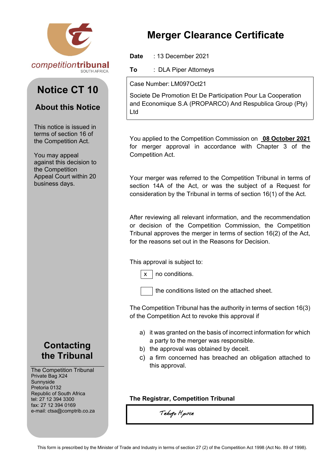

# **Notice CT 10**

## **About this Notice**

This notice is issued in terms of section 16 of the Competition Act.

You may appeal against this decision to the Competition Appeal Court within 20 business days.

## **Contacting the Tribunal**

The Competition Tribunal Private Bag X24 Sunnyside Pretoria 0132 Republic of South Africa tel: 27 12 394 3300 fax: 27 12 394 0169 e-mail: ctsa@comptrib.co.za

# **Merger Clearance Certificate**

**Date** : 13 December 2021

**To** : DLA Piper Attorneys

Case Number: LM097Oct21

Societe De Promotion Et De Participation Pour La Cooperation and Economique S.A (PROPARCO) And Respublica Group (Pty) Ltd

You applied to the Competition Commission on **08 October 2021**  for merger approval in accordance with Chapter 3 of the Competition Act.

Your merger was referred to the Competition Tribunal in terms of section 14A of the Act, or was the subject of a Request for consideration by the Tribunal in terms of section 16(1) of the Act.

After reviewing all relevant information, and the recommendation or decision of the Competition Commission, the Competition Tribunal approves the merger in terms of section 16(2) of the Act, for the reasons set out in the Reasons for Decision.

This approval is subject to:



 $x \mid$  no conditions.

the conditions listed on the attached sheet.

The Competition Tribunal has the authority in terms of section 16(3) of the Competition Act to revoke this approval if

- a) it was granted on the basis of incorrect information for which a party to the merger was responsible.
- b) the approval was obtained by deceit.
- c) a firm concerned has breached an obligation attached to this approval.

### **The Registrar, Competition Tribunal**

Tebogo Hpirle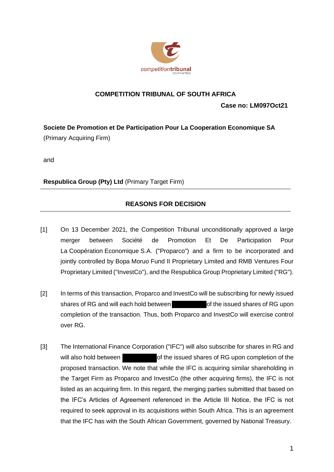

#### **COMPETITION TRIBUNAL OF SOUTH AFRICA**

**Case no: LM097Oct21**

**Societe De Promotion et De Participation Pour La Cooperation Economique SA** (Primary Acquiring Firm)

and

**Respublica Group (Pty) Ltd** (Primary Target Firm)

### **REASONS FOR DECISION**

- [1] On 13 December 2021, the Competition Tribunal unconditionally approved a large merger between Société de Promotion Et De Participation Pour La Coopération Economique S.A. ("Proparco") and a firm to be incorporated and jointly controlled by Bopa Moruo Fund II Proprietary Limited and RMB Ventures Four Proprietary Limited ("InvestCo"), and the Respublica Group Proprietary Limited ("RG").
- [2] In terms of this transaction, Proparco and InvestCo will be subscribing for newly issued shares of RG and will each hold between **of the issued shares of RG upon** completion of the transaction. Thus, both Proparco and InvestCo will exercise control over RG.
- [3] The International Finance Corporation ("IFC") will also subscribe for shares in RG and will also hold between of the issued shares of RG upon completion of the proposed transaction. We note that while the IFC is acquiring similar shareholding in the Target Firm as Proparco and InvestCo (the other acquiring firms), the IFC is not listed as an acquiring firm. In this regard, the merging parties submitted that based on the IFC's Articles of Agreement referenced in the Article III Notice, the IFC is not required to seek approval in its acquisitions within South Africa. This is an agreement that the IFC has with the South African Government, governed by National Treasury.